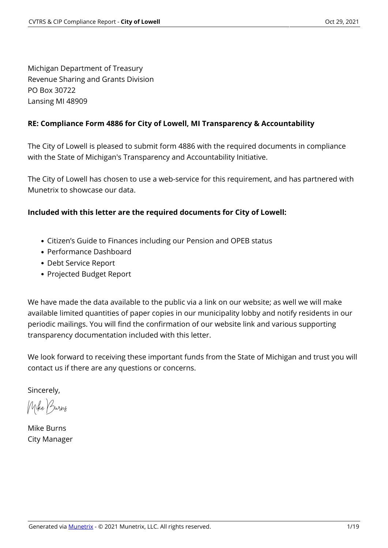Michigan Department of Treasury Revenue Sharing and Grants Division PO Box 30722 Lansing MI 48909

#### **RE: Compliance Form 4886 for City of Lowell, MI Transparency & Accountability**

The City of Lowell is pleased to submit form 4886 with the required documents in compliance with the State of Michigan's Transparency and Accountability Initiative.

The City of Lowell has chosen to use a web-service for this requirement, and has partnered with Munetrix to showcase our data.

#### **Included with this letter are the required documents for City of Lowell:**

- Citizen's Guide to Finances including our Pension and OPEB status
- Performance Dashboard
- Debt Service Report
- Projected Budget Report

We have made the data available to the public via a link on our website; as well we will make available limited quantities of paper copies in our municipality lobby and notify residents in our periodic mailings. You will find the confirmation of our website link and various supporting transparency documentation included with this letter.

We look forward to receiving these important funds from the State of Michigan and trust you will contact us if there are any questions or concerns.

Sincerely,

Mike Burns

Mike Burns City Manager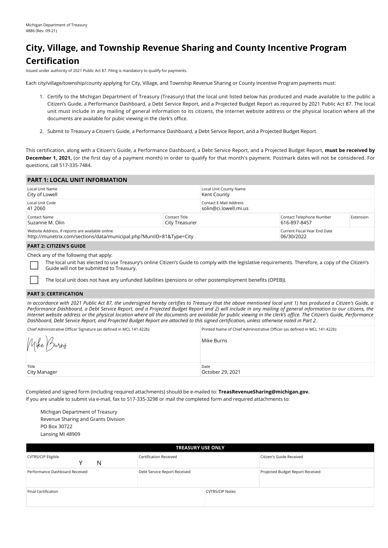# **City, Village, and Township Revenue Sharing and County Incentive Program Certification**

Issued under authority of 2021 Public Act 87. Filing is mandatory to qualify for payments.

Each city/village/township/county applying for City, Village, and Township Revenue Sharing or County Incentive Program payments must:

- 1. Certify to the Michigan Department of Treasury (Treasury) that the local unit listed below has produced and made available to the public a Citizen's Guide, a Performance Dashboard, a Debt Service Report, and a Projected Budget Report as required by 2021 Public Act 87. The local unit must include in any mailing of general information to its citizens, the Internet website address or the physical location where all the documents are available for pubic viewing in the clerk's office.
- 2. Submit to Treasury a Citizen's Guide, a Performance Dashboard, a Debt Service Report, and a Projected Budget Report.

This certification, along with a Citizen's Guide, a Performance Dashboard, a Debt Service Report, and a Projected Budget Report, **must be received by December 1, 2021,** (or the first day of a payment month) in order to qualify for that month's payment. Postmark dates will not be considered. For questions, call 517-335-7484.

| <b>PART 1: LOCAL UNIT INFORMATION</b>                                                                                                                                                         |                                        |                                                 |                                            |           |
|-----------------------------------------------------------------------------------------------------------------------------------------------------------------------------------------------|----------------------------------------|-------------------------------------------------|--------------------------------------------|-----------|
| Local Unit Name<br>City of Lowell                                                                                                                                                             |                                        | Local Unit County Name<br>Kent County           |                                            |           |
| Local Unit Code<br>41 2060                                                                                                                                                                    |                                        | Contact E-Mail Address<br>solin@ci.lowell.mi.us |                                            |           |
| Contact Name<br>Suzanne M. Olin                                                                                                                                                               | Contact Title<br><b>City Treasurer</b> |                                                 | Contact Telephone Number<br>616-897-8457   | Extension |
| Website Address, if reports are available online<br>http://munetrix.com/sections/data/municipal.php?MunilD=81&Type=City                                                                       |                                        |                                                 | Current Fiscal Year End Date<br>06/30/2022 |           |
| <b>PART 2: CITIZEN'S GUIDE</b>                                                                                                                                                                |                                        |                                                 |                                            |           |
| Check any of the following that apply:<br>The local unit has elected to use Treasury's online Citizen's Guide to comply with the legislative requirements. Therefore, a copy of the Citizen's |                                        |                                                 |                                            |           |

inline Citizen's Guide to comply with the legislative requirements. Therefore, a copy of the Citizen's Guide will not be submitted to Treasury.

The local unit does not have any unfunded liabilities (pensions or other postemployment benefits (OPEB)).

#### **PART 3: CERTIFICATION**

*In accordance with 2021 Public Act 87, the undersigned hereby certifies to Treasury that the above mentioned local unit 1) has produced a Citizen's Guide, a Performance Dashboard, a Debt Service Report, and a Projected Budget Report and 2) will include in any mailing of general information to our citizens, the Internet website address or the physical location where all the documents are available for public viewing in the clerk's office. The Citizen's Guide, Performance Dashboard, Debt Service Report, and Projected Budget Report are attached to this signed certification, unless otherwise noted in Part 2.*

| Chief Administrative Officer Signature (as defined in MCL 141.422b) | Printed Name of Chief Administrative Officer (as defined in MCL 141.422b) |
|---------------------------------------------------------------------|---------------------------------------------------------------------------|
| Mike Burns                                                          | Mike Burns                                                                |
| Title<br>City Manager                                               | Date<br>October 29, 2021                                                  |

Completed and signed form (including required attachments) should be e-mailed to: **TreasRevenueSharing@michigan.gov.** If you are unable to submit via e-mail, fax to 517-335-3298 or mail the completed form and required attachments to:

Michigan Department of Treasury Revenue Sharing and Grants Division PO Box 30722 Lansing MI 48909

| <b>TREASURY USE ONLY</b>            |                              |                        |                                  |  |  |  |  |
|-------------------------------------|------------------------------|------------------------|----------------------------------|--|--|--|--|
| <b>CVTRS/CIP Eligible</b><br>N<br>v | Certification Received       |                        | Citizen's Guide Received         |  |  |  |  |
| Performance Dashboard Received      | Debt Service Report Received |                        | Projected Budget Report Received |  |  |  |  |
| Final Certification                 |                              | <b>CVTRS/CIP Notes</b> |                                  |  |  |  |  |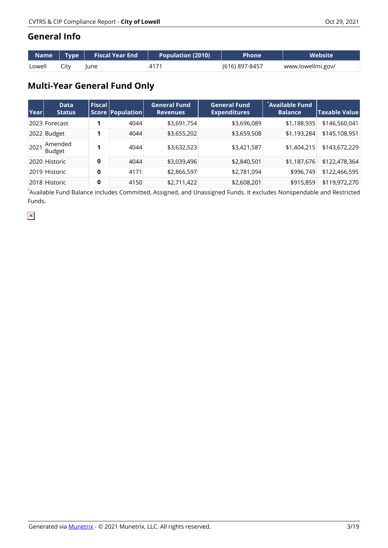#### **General Info**

| Name   | Type | <b>Fiscal Year End</b> | <b>Population (2010)</b> | <b>Phone</b>   | Website           |
|--------|------|------------------------|--------------------------|----------------|-------------------|
| Lowell | City | lune                   | 417'                     | (616) 897-8457 | www.lowellmi.gov/ |

# **Multi-Year General Fund Only**

| Year | <b>Data</b><br><b>Status</b> | Fiscal | Score   Population | <b>General Fund</b><br><b>Revenues</b> | <b>General Fund</b><br><b>Expenditures</b> | Available Fund<br><b>Balance</b> | $ \mathsf{Taxable Value} $ |
|------|------------------------------|--------|--------------------|----------------------------------------|--------------------------------------------|----------------------------------|----------------------------|
|      | 2023 Forecast                |        | 4044               | \$3,691,754                            | \$3,696,089                                | \$1,188,935                      | \$146,560,041              |
|      | 2022 Budget                  |        | 4044               | \$3,655,202                            | \$3,659,508                                | \$1,193,284                      | \$145,108,951              |
| 2021 | Amended<br><b>Budget</b>     |        | 4044               | \$3,632,523                            | \$3,421,587                                | \$1,404,215                      | \$143,672,229              |
|      | 2020 Historic                | 0      | 4044               | \$3,039,496                            | \$2,840,501                                | \$1,187,676                      | \$122,478,364              |
|      | 2019 Historic                | 0      | 4171               | \$2,866,597                            | \$2,781,094                                | \$996,749                        | \$122,466,595              |
|      | 2018 Historic                | 0      | 4150               | \$2,711,422                            | \$2,608,201                                | \$915,859                        | \$119,972,270              |

\* Available Fund Balance includes Committed, Assigned, and Unassigned Funds. It excludes Nonspendable and Restricted Funds.

 $\pmb{\times}$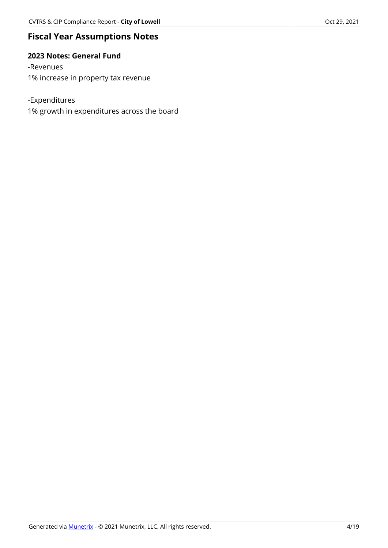### **Fiscal Year Assumptions Notes**

#### **2023 Notes: General Fund**

-Revenues 1% increase in property tax revenue

-Expenditures 1% growth in expenditures across the board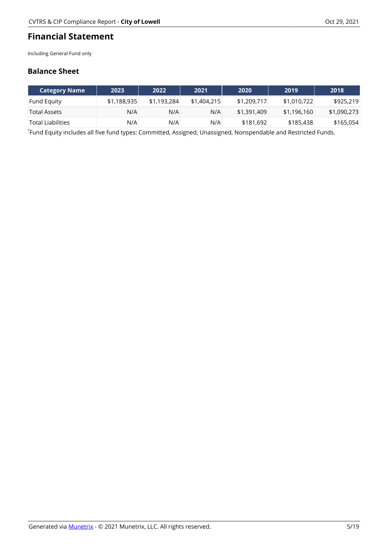#### **Financial Statement**

Including General Fund only

#### **Balance Sheet**

| Category Name \    | 2023        | 2022        | 2021        | 2020        | 2019        | 2018        |
|--------------------|-------------|-------------|-------------|-------------|-------------|-------------|
| <b>Fund Equity</b> | \$1,188,935 | \$1,193,284 | \$1,404,215 | \$1,209,717 | \$1,010,722 | \$925,219   |
| Total Assets       | N/A         | N/A         | N/A         | \$1,391,409 | \$1,196,160 | \$1,090,273 |
| `Total Liabilities | N/A         | N/A         | N/A         | \$181,692   | \$185,438   | \$165,054   |

\* Fund Equity includes all five fund types: Committed, Assigned, Unassigned, Nonspendable and Restricted Funds.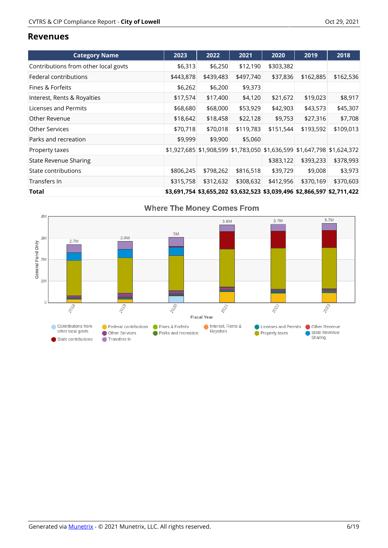#### **Revenues**

| <b>Category Name</b>                 | 2023      | 2022                                                                    | 2021      | 2020      | 2019      | 2018      |
|--------------------------------------|-----------|-------------------------------------------------------------------------|-----------|-----------|-----------|-----------|
| Contributions from other local govts | \$6,313   | \$6,250                                                                 | \$12,190  | \$303,382 |           |           |
| Federal contributions                | \$443,878 | \$439,483                                                               | \$497,740 | \$37,836  | \$162,885 | \$162,536 |
| Fines & Forfeits                     | \$6,262   | \$6,200                                                                 | \$9,373   |           |           |           |
| Interest, Rents & Royalties          | \$17,574  | \$17,400                                                                | \$4,120   | \$21,672  | \$19,023  | \$8,917   |
| Licenses and Permits                 | \$68,680  | \$68,000                                                                | \$53,929  | \$42,903  | \$43,573  | \$45,307  |
| Other Revenue                        | \$18,642  | \$18,458                                                                | \$22,128  | \$9,753   | \$27,316  | \$7,708   |
| <b>Other Services</b>                | \$70,718  | \$70,018                                                                | \$119,783 | \$151,544 | \$193,592 | \$109,013 |
| Parks and recreation                 | \$9,999   | \$9,900                                                                 | \$5,060   |           |           |           |
| Property taxes                       |           | \$1,927,685 \$1,908,599 \$1,783,050 \$1,636,599 \$1,647,798 \$1,624,372 |           |           |           |           |
| <b>State Revenue Sharing</b>         |           |                                                                         |           | \$383,122 | \$393,233 | \$378,993 |
| State contributions                  | \$806,245 | \$798,262                                                               | \$816,518 | \$39,729  | \$9,008   | \$3,973   |
| Transfers In                         | \$315,758 | \$312,632                                                               | \$308,632 | \$412,956 | \$370,169 | \$370,603 |
| Total                                |           | \$3,691,754 \$3,655,202 \$3,632,523 \$3,039,496 \$2,866,597 \$2,711,422 |           |           |           |           |

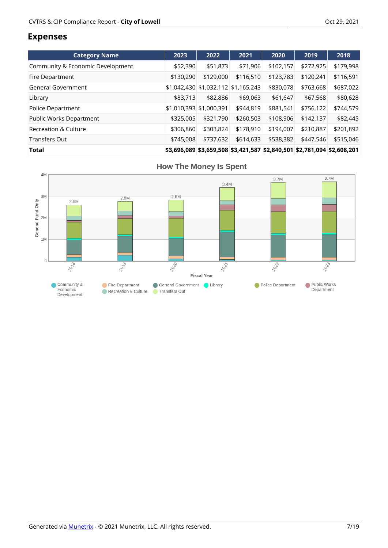#### **Expenses**

| <b>Category Name</b>             | 2023      | 2022                    | 2021                                                                    | 2020      | 2019      | 2018      |
|----------------------------------|-----------|-------------------------|-------------------------------------------------------------------------|-----------|-----------|-----------|
| Community & Economic Development | \$52,390  | \$51,873                | \$71,906                                                                | \$102,157 | \$272,925 | \$179,998 |
| Fire Department                  | \$130,290 | \$129,000               | \$116,510                                                               | \$123,783 | \$120,241 | \$116,591 |
| General Government               |           |                         | \$1,042,430 \$1,032,112 \$1,165,243                                     | \$830,078 | \$763,668 | \$687,022 |
| Library                          | \$83,713  | \$82,886                | \$69,063                                                                | \$61,647  | \$67,568  | \$80,628  |
| <b>Police Department</b>         |           | \$1,010,393 \$1,000,391 | \$944,819                                                               | \$881,541 | \$756,122 | \$744,579 |
| Public Works Department          | \$325,005 | \$321,790               | \$260,503                                                               | \$108,906 | \$142,137 | \$82,445  |
| <b>Recreation &amp; Culture</b>  | \$306,860 | \$303,824               | \$178,910                                                               | \$194,007 | \$210.887 | \$201,892 |
| Transfers Out                    | \$745,008 | \$737,632               | \$614,633                                                               | \$538,382 | \$447,546 | \$515,046 |
| Total                            |           |                         | \$3,696,089 \$3,659,508 \$3,421,587 \$2,840,501 \$2,781,094 \$2,608,201 |           |           |           |

**How The Money Is Spent** 

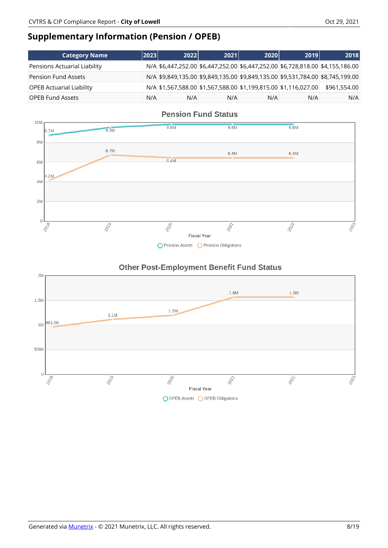# **Supplementary Information (Pension / OPEB)**

| <b>Category Name</b>            | 2023 | 2022 | 2021 | 2020 | 2019                                                                           | 2018         |
|---------------------------------|------|------|------|------|--------------------------------------------------------------------------------|--------------|
| Pensions Actuarial Liability    |      |      |      |      | N/A \$6,447,252.00 \$6,447,252.00 \$6,447,252.00 \$6,728,818.00 \$4,155,186.00 |              |
| <b>Pension Fund Assets</b>      |      |      |      |      | N/A \$9,849,135.00 \$9,849,135.00 \$9,849,135.00 \$9,531,784.00 \$8,745,199.00 |              |
| <b>OPEB Actuarial Liability</b> |      |      |      |      | N/A \$1,567,588.00 \$1,567,588.00 \$1,199,815.00 \$1,116,027.00                | \$961,554.00 |
| <b>OPEB Fund Assets</b>         | N/A  | N/A  | N/A  | N/A  | N/A                                                                            | N/A          |







#### **Other Post-Employment Benefit Fund Status**

O OPEB Assets O OPEB Obligations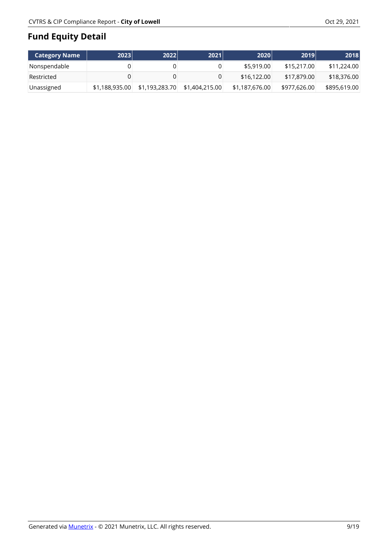# **Fund Equity Detail**

| <b>Category Name</b> | 2023           | 2022           | 2021           | 2020           | 2019         | 2018         |
|----------------------|----------------|----------------|----------------|----------------|--------------|--------------|
| Nonspendable         |                |                |                | \$5,919.00     | \$15,217,00  | \$11,224.00  |
| Restricted           |                |                |                | \$16,122,00    | \$17,879,00  | \$18,376.00  |
| Unassigned           | \$1,188,935.00 | \$1,193,283.70 | \$1,404,215,00 | \$1,187,676.00 | \$977,626.00 | \$895,619.00 |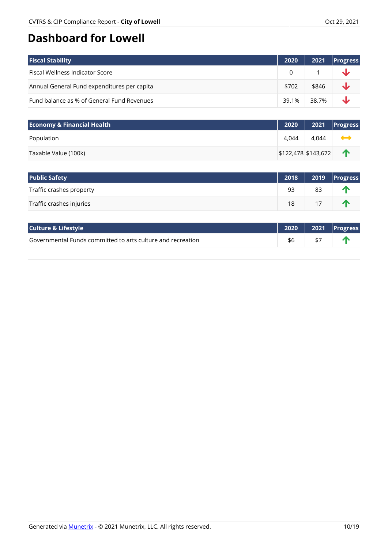# **Dashboard for Lowell**

| <b>Fiscal Stability</b>                     | 2020  | 2021        | <b>Progress</b> |
|---------------------------------------------|-------|-------------|-----------------|
| Fiscal Wellness Indicator Score             |       |             | <b>sk</b>       |
| Annual General Fund expenditures per capita | \$702 | \$846       | $\mathbf{r}$    |
| Fund balance as % of General Fund Revenues  |       | 39.1% 38.7% | $\mathbf{L}$    |

| <b>Economy &amp; Financial Health</b> | 2020                | 2021  | $ $ Progress    |
|---------------------------------------|---------------------|-------|-----------------|
| Population                            | 4.044               | 4.044 | $\blacklozenge$ |
| Taxable Value (100k)                  | \$122,478 \$143,672 |       | $\blacksquare$  |

| <b>Public Safety</b>     | 2018 |    | $\sqrt{2019}$ Progress |
|--------------------------|------|----|------------------------|
| Traffic crashes property | 93   | 83 |                        |
| Traffic crashes injuries | 18   | 17 |                        |

| <b>Culture &amp; Lifestyle</b>                              |     |     | 2020   2021  Progress |
|-------------------------------------------------------------|-----|-----|-----------------------|
| Governmental Funds committed to arts culture and recreation | \$6 | \$7 |                       |
|                                                             |     |     |                       |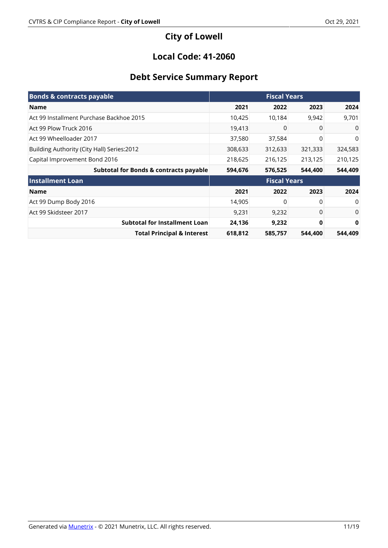# **City of Lowell**

### **Local Code: 41-2060**

# **Debt Service Summary Report**

| <b>Bonds &amp; contracts payable</b>              | <b>Fiscal Years</b> |                     |         |          |
|---------------------------------------------------|---------------------|---------------------|---------|----------|
| Name                                              | 2021                | 2022                | 2023    | 2024     |
| Act 99 Installment Purchase Backhoe 2015          | 10,425              | 10,184              | 9,942   | 9,701    |
| Act 99 Plow Truck 2016                            | 19,413              | 0                   | 0       | 0        |
| Act 99 Wheelloader 2017                           | 37,580              | 37,584              | 0       | 0        |
| Building Authority (City Hall) Series: 2012       | 308,633             | 312,633             | 321,333 | 324,583  |
| Capital Improvement Bond 2016                     | 218,625             | 216,125             | 213,125 | 210,125  |
| <b>Subtotal for Bonds &amp; contracts payable</b> | 594,676             | 576,525             | 544,400 | 544,409  |
| <b>Installment Loan</b>                           |                     | <b>Fiscal Years</b> |         |          |
| <b>Name</b>                                       | 2021                | 2022                | 2023    | 2024     |
| Act 99 Dump Body 2016                             | 14,905              | 0                   | 0       | $\Omega$ |
| Act 99 Skidsteer 2017                             | 9,231               | 9,232               | 0       | 0        |
| <b>Subtotal for Installment Loan</b>              | 24,136              | 9,232               | 0       | 0        |
| <b>Total Principal &amp; Interest</b>             | 618,812             | 585,757             | 544,400 | 544,409  |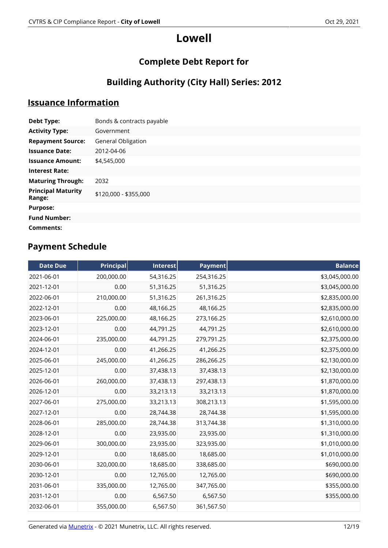# **Complete Debt Report for**

# **Building Authority (City Hall) Series: 2012**

# **Issuance Information**

| <b>Debt Type:</b>                   | Bonds & contracts payable |
|-------------------------------------|---------------------------|
| <b>Activity Type:</b>               | Government                |
| <b>Repayment Source:</b>            | <b>General Obligation</b> |
| <b>Issuance Date:</b>               | 2012-04-06                |
| <b>Issuance Amount:</b>             | \$4,545,000               |
| <b>Interest Rate:</b>               |                           |
| <b>Maturing Through:</b>            | 2032                      |
| <b>Principal Maturity</b><br>Range: | \$120,000 - \$355,000     |
| <b>Purpose:</b>                     |                           |
| <b>Fund Number:</b>                 |                           |
| Comments:                           |                           |

| <b>Date Due</b> | <b>Principal</b> | Interest  | <b>Payment</b> | <b>Balance</b> |
|-----------------|------------------|-----------|----------------|----------------|
| 2021-06-01      | 200,000.00       | 54,316.25 | 254,316.25     | \$3,045,000.00 |
| 2021-12-01      | 0.00             | 51,316.25 | 51,316.25      | \$3,045,000.00 |
| 2022-06-01      | 210,000.00       | 51,316.25 | 261,316.25     | \$2,835,000.00 |
| 2022-12-01      | 0.00             | 48,166.25 | 48,166.25      | \$2,835,000.00 |
| 2023-06-01      | 225,000.00       | 48,166.25 | 273,166.25     | \$2,610,000.00 |
| 2023-12-01      | 0.00             | 44,791.25 | 44,791.25      | \$2,610,000.00 |
| 2024-06-01      | 235,000.00       | 44,791.25 | 279,791.25     | \$2,375,000.00 |
| 2024-12-01      | 0.00             | 41,266.25 | 41,266.25      | \$2,375,000.00 |
| 2025-06-01      | 245,000.00       | 41,266.25 | 286,266.25     | \$2,130,000.00 |
| 2025-12-01      | 0.00             | 37,438.13 | 37,438.13      | \$2,130,000.00 |
| 2026-06-01      | 260,000.00       | 37,438.13 | 297,438.13     | \$1,870,000.00 |
| 2026-12-01      | 0.00             | 33,213.13 | 33,213.13      | \$1,870,000.00 |
| 2027-06-01      | 275,000.00       | 33,213.13 | 308,213.13     | \$1,595,000.00 |
| 2027-12-01      | 0.00             | 28,744.38 | 28,744.38      | \$1,595,000.00 |
| 2028-06-01      | 285,000.00       | 28,744.38 | 313,744.38     | \$1,310,000.00 |
| 2028-12-01      | 0.00             | 23,935.00 | 23,935.00      | \$1,310,000.00 |
| 2029-06-01      | 300,000.00       | 23,935.00 | 323,935.00     | \$1,010,000.00 |
| 2029-12-01      | 0.00             | 18,685.00 | 18,685.00      | \$1,010,000.00 |
| 2030-06-01      | 320,000.00       | 18,685.00 | 338,685.00     | \$690,000.00   |
| 2030-12-01      | 0.00             | 12,765.00 | 12,765.00      | \$690,000.00   |
| 2031-06-01      | 335,000.00       | 12,765.00 | 347,765.00     | \$355,000.00   |
| 2031-12-01      | 0.00             | 6,567.50  | 6,567.50       | \$355,000.00   |
| 2032-06-01      | 355,000.00       | 6,567.50  | 361,567.50     |                |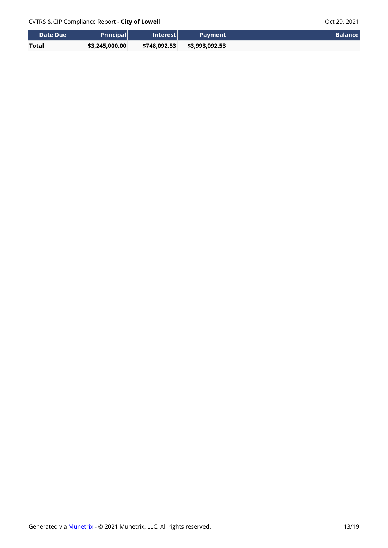| Date Due     | <b>Principal</b> | <b>Interest</b> | <b>Payment</b> | <b>Balance</b> |
|--------------|------------------|-----------------|----------------|----------------|
| <b>Total</b> | \$3,245,000.00   | \$748.092.53    | \$3,993,092.53 |                |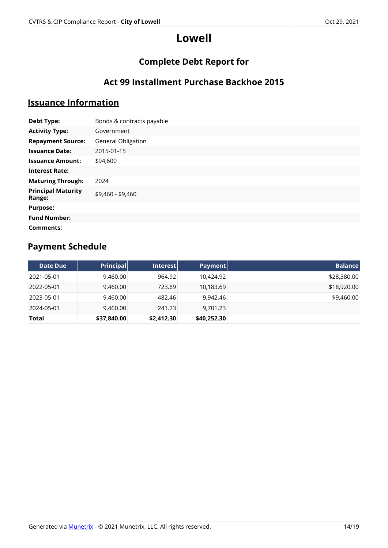# **Complete Debt Report for**

### **Act 99 Installment Purchase Backhoe 2015**

### **Issuance Information**

| <b>Debt Type:</b>                   | Bonds & contracts payable |
|-------------------------------------|---------------------------|
| <b>Activity Type:</b>               | Government                |
| <b>Repayment Source:</b>            | General Obligation        |
| <b>Issuance Date:</b>               | 2015-01-15                |
| <b>Issuance Amount:</b>             | \$94,600                  |
| <b>Interest Rate:</b>               |                           |
| <b>Maturing Through:</b>            | 2024                      |
| <b>Principal Maturity</b><br>Range: | \$9,460 - \$9,460         |
| <b>Purpose:</b>                     |                           |
| <b>Fund Number:</b>                 |                           |
| Comments:                           |                           |

| Date Due   | <b>Principal</b> | <b>Interest</b> | Payment     | <b>Balance</b> |
|------------|------------------|-----------------|-------------|----------------|
| 2021-05-01 | 9,460.00         | 964.92          | 10,424.92   | \$28,380.00    |
| 2022-05-01 | 9,460.00         | 723.69          | 10,183.69   | \$18,920.00    |
| 2023-05-01 | 9,460.00         | 482.46          | 9.942.46    | \$9,460.00     |
| 2024-05-01 | 9,460.00         | 241.23          | 9,701.23    |                |
| Total      | \$37,840.00      | \$2,412.30      | \$40,252.30 |                |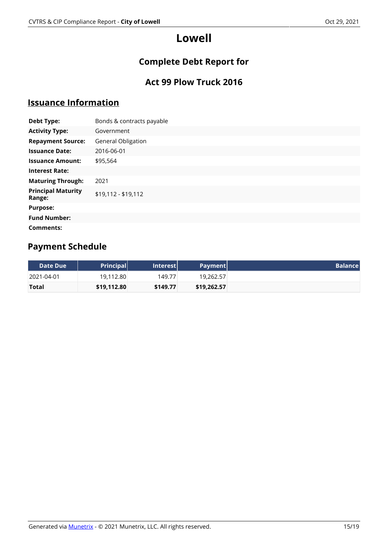# **Complete Debt Report for**

# **Act 99 Plow Truck 2016**

### **Issuance Information**

| <b>Debt Type:</b>                   | Bonds & contracts payable |
|-------------------------------------|---------------------------|
| <b>Activity Type:</b>               | Government                |
| <b>Repayment Source:</b>            | <b>General Obligation</b> |
| <b>Issuance Date:</b>               | 2016-06-01                |
| <b>Issuance Amount:</b>             | \$95,564                  |
| <b>Interest Rate:</b>               |                           |
| <b>Maturing Through:</b>            | 2021                      |
| <b>Principal Maturity</b><br>Range: | \$19,112 - \$19,112       |
| <b>Purpose:</b>                     |                           |
| <b>Fund Number:</b>                 |                           |
| Comments:                           |                           |

| Date Due <b>\</b> | <b>Principal</b> | Interest | Payment     | <b>Balance</b> |
|-------------------|------------------|----------|-------------|----------------|
| 2021-04-01        | 19,112.80        | 149.77   | 19,262.57   |                |
| <b>Total</b>      | \$19,112.80      | \$149.77 | \$19,262.57 |                |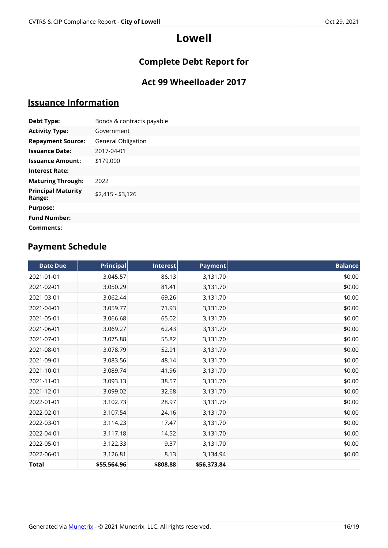# **Complete Debt Report for**

# **Act 99 Wheelloader 2017**

### **Issuance Information**

| <b>Debt Type:</b>                   | Bonds & contracts payable |
|-------------------------------------|---------------------------|
| <b>Activity Type:</b>               | Government                |
| <b>Repayment Source:</b>            | <b>General Obligation</b> |
| <b>Issuance Date:</b>               | 2017-04-01                |
| <b>Issuance Amount:</b>             | \$179,000                 |
| <b>Interest Rate:</b>               |                           |
| <b>Maturing Through:</b>            | 2022                      |
| <b>Principal Maturity</b><br>Range: | $$2,415 - $3,126$         |
| <b>Purpose:</b>                     |                           |
| <b>Fund Number:</b>                 |                           |
| Comments:                           |                           |

| <b>Date Due</b> | <b>Principal</b> | Interest | Payment     | <b>Balance</b> |
|-----------------|------------------|----------|-------------|----------------|
| 2021-01-01      | 3,045.57         | 86.13    | 3,131.70    | \$0.00         |
| 2021-02-01      | 3,050.29         | 81.41    | 3,131.70    | \$0.00         |
| 2021-03-01      | 3,062.44         | 69.26    | 3,131.70    | \$0.00         |
| 2021-04-01      | 3,059.77         | 71.93    | 3,131.70    | \$0.00         |
| 2021-05-01      | 3,066.68         | 65.02    | 3,131.70    | \$0.00         |
| 2021-06-01      | 3,069.27         | 62.43    | 3,131.70    | \$0.00         |
| 2021-07-01      | 3,075.88         | 55.82    | 3,131.70    | \$0.00         |
| 2021-08-01      | 3,078.79         | 52.91    | 3,131.70    | \$0.00         |
| 2021-09-01      | 3,083.56         | 48.14    | 3,131.70    | \$0.00         |
| 2021-10-01      | 3,089.74         | 41.96    | 3,131.70    | \$0.00         |
| 2021-11-01      | 3,093.13         | 38.57    | 3,131.70    | \$0.00         |
| 2021-12-01      | 3,099.02         | 32.68    | 3,131.70    | \$0.00         |
| 2022-01-01      | 3,102.73         | 28.97    | 3,131.70    | \$0.00         |
| 2022-02-01      | 3,107.54         | 24.16    | 3,131.70    | \$0.00         |
| 2022-03-01      | 3,114.23         | 17.47    | 3,131.70    | \$0.00         |
| 2022-04-01      | 3,117.18         | 14.52    | 3,131.70    | \$0.00         |
| 2022-05-01      | 3,122.33         | 9.37     | 3,131.70    | \$0.00         |
| 2022-06-01      | 3,126.81         | 8.13     | 3,134.94    | \$0.00         |
| <b>Total</b>    | \$55,564.96      | \$808.88 | \$56,373.84 |                |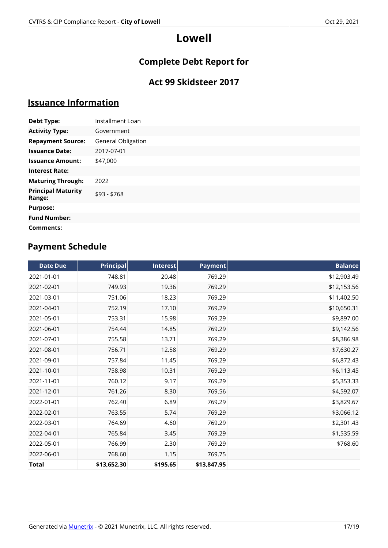# **Complete Debt Report for**

### **Act 99 Skidsteer 2017**

### **Issuance Information**

| <b>Debt Type:</b>                   | Installment Loan   |
|-------------------------------------|--------------------|
| <b>Activity Type:</b>               | Government         |
| <b>Repayment Source:</b>            | General Obligation |
| <b>Issuance Date:</b>               | 2017-07-01         |
| <b>Issuance Amount:</b>             | \$47,000           |
| <b>Interest Rate:</b>               |                    |
| <b>Maturing Through:</b>            | 2022               |
| <b>Principal Maturity</b><br>Range: | \$93 - \$768       |
| <b>Purpose:</b>                     |                    |
| <b>Fund Number:</b>                 |                    |
| Comments:                           |                    |

| <b>Date Due</b> | <b>Principal</b> | Interest | Payment     | <b>Balance</b> |
|-----------------|------------------|----------|-------------|----------------|
| 2021-01-01      | 748.81           | 20.48    | 769.29      | \$12,903.49    |
| 2021-02-01      | 749.93           | 19.36    | 769.29      | \$12,153.56    |
| 2021-03-01      | 751.06           | 18.23    | 769.29      | \$11,402.50    |
| 2021-04-01      | 752.19           | 17.10    | 769.29      | \$10,650.31    |
| 2021-05-01      | 753.31           | 15.98    | 769.29      | \$9,897.00     |
| 2021-06-01      | 754.44           | 14.85    | 769.29      | \$9,142.56     |
| 2021-07-01      | 755.58           | 13.71    | 769.29      | \$8,386.98     |
| 2021-08-01      | 756.71           | 12.58    | 769.29      | \$7,630.27     |
| 2021-09-01      | 757.84           | 11.45    | 769.29      | \$6,872.43     |
| 2021-10-01      | 758.98           | 10.31    | 769.29      | \$6,113.45     |
| 2021-11-01      | 760.12           | 9.17     | 769.29      | \$5,353.33     |
| 2021-12-01      | 761.26           | 8.30     | 769.56      | \$4,592.07     |
| 2022-01-01      | 762.40           | 6.89     | 769.29      | \$3,829.67     |
| 2022-02-01      | 763.55           | 5.74     | 769.29      | \$3,066.12     |
| 2022-03-01      | 764.69           | 4.60     | 769.29      | \$2,301.43     |
| 2022-04-01      | 765.84           | 3.45     | 769.29      | \$1,535.59     |
| 2022-05-01      | 766.99           | 2.30     | 769.29      | \$768.60       |
| 2022-06-01      | 768.60           | 1.15     | 769.75      |                |
| <b>Total</b>    | \$13,652.30      | \$195.65 | \$13,847.95 |                |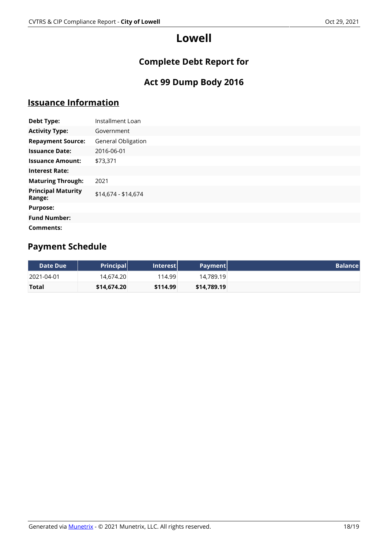# **Complete Debt Report for**

### **Act 99 Dump Body 2016**

### **Issuance Information**

| <b>Debt Type:</b>                   | Installment Loan    |
|-------------------------------------|---------------------|
| <b>Activity Type:</b>               | Government          |
| <b>Repayment Source:</b>            | General Obligation  |
| <b>Issuance Date:</b>               | 2016-06-01          |
| <b>Issuance Amount:</b>             | \$73,371            |
| <b>Interest Rate:</b>               |                     |
| <b>Maturing Through:</b>            | 2021                |
| <b>Principal Maturity</b><br>Range: | \$14,674 - \$14,674 |
| <b>Purpose:</b>                     |                     |
| <b>Fund Number:</b>                 |                     |
| Comments:                           |                     |

| Date Due     | <b>Principal</b> | Interest | Payment     |
|--------------|------------------|----------|-------------|
| 2021-04-01   | 14,674.20        | 114.99   | 14.789.19   |
| <b>Total</b> | \$14,674.20      | \$114.99 | \$14,789.19 |